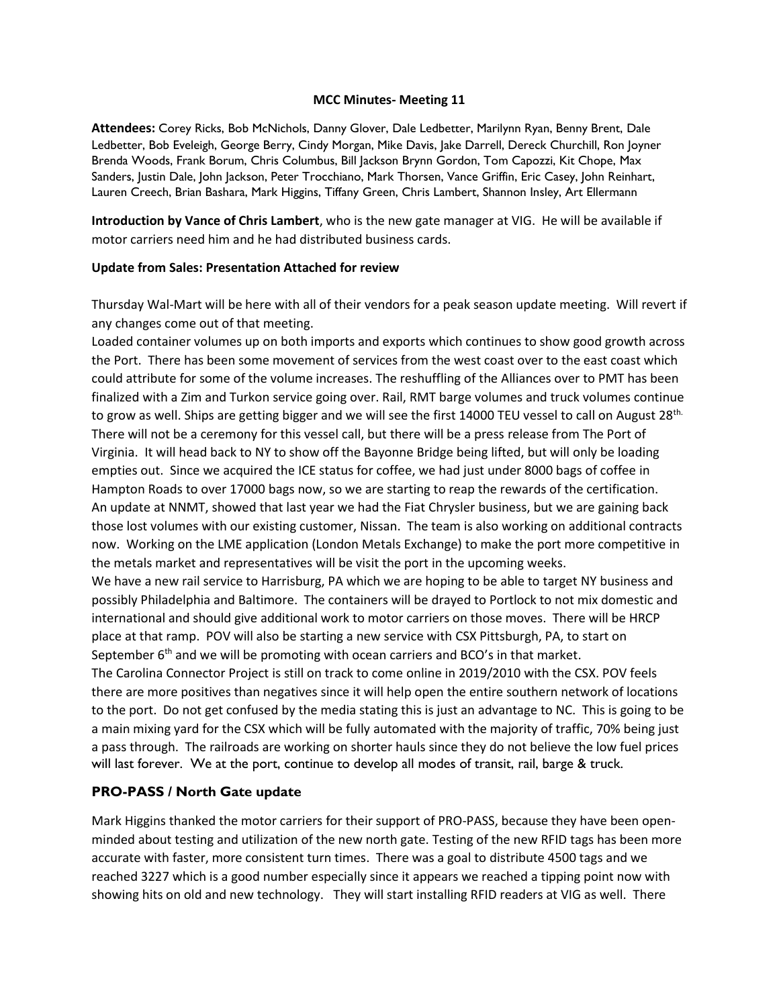#### **MCC Minutes- Meeting 11**

**Attendees:** Corey Ricks, Bob McNichols, Danny Glover, Dale Ledbetter, Marilynn Ryan, Benny Brent, Dale Ledbetter, Bob Eveleigh, George Berry, Cindy Morgan, Mike Davis, Jake Darrell, Dereck Churchill, Ron Joyner Brenda Woods, Frank Borum, Chris Columbus, Bill Jackson Brynn Gordon, Tom Capozzi, Kit Chope, Max Sanders, Justin Dale, John Jackson, Peter Trocchiano, Mark Thorsen, Vance Griffin, Eric Casey, John Reinhart, Lauren Creech, Brian Bashara, Mark Higgins, Tiffany Green, Chris Lambert, Shannon Insley, Art Ellermann

**Introduction by Vance of Chris Lambert**, who is the new gate manager at VIG. He will be available if motor carriers need him and he had distributed business cards.

#### **Update from Sales: Presentation Attached for review**

Thursday Wal-Mart will be here with all of their vendors for a peak season update meeting. Will revert if any changes come out of that meeting.

Loaded container volumes up on both imports and exports which continues to show good growth across the Port. There has been some movement of services from the west coast over to the east coast which could attribute for some of the volume increases. The reshuffling of the Alliances over to PMT has been finalized with a Zim and Turkon service going over. Rail, RMT barge volumes and truck volumes continue to grow as well. Ships are getting bigger and we will see the first 14000 TEU vessel to call on August 28<sup>th.</sup> There will not be a ceremony for this vessel call, but there will be a press release from The Port of Virginia. It will head back to NY to show off the Bayonne Bridge being lifted, but will only be loading empties out. Since we acquired the ICE status for coffee, we had just under 8000 bags of coffee in Hampton Roads to over 17000 bags now, so we are starting to reap the rewards of the certification. An update at NNMT, showed that last year we had the Fiat Chrysler business, but we are gaining back those lost volumes with our existing customer, Nissan. The team is also working on additional contracts now. Working on the LME application (London Metals Exchange) to make the port more competitive in the metals market and representatives will be visit the port in the upcoming weeks.

We have a new rail service to Harrisburg, PA which we are hoping to be able to target NY business and possibly Philadelphia and Baltimore. The containers will be drayed to Portlock to not mix domestic and international and should give additional work to motor carriers on those moves. There will be HRCP place at that ramp. POV will also be starting a new service with CSX Pittsburgh, PA, to start on September  $6<sup>th</sup>$  and we will be promoting with ocean carriers and BCO's in that market.

The Carolina Connector Project is still on track to come online in 2019/2010 with the CSX. POV feels there are more positives than negatives since it will help open the entire southern network of locations to the port. Do not get confused by the media stating this is just an advantage to NC. This is going to be a main mixing yard for the CSX which will be fully automated with the majority of traffic, 70% being just a pass through. The railroads are working on shorter hauls since they do not believe the low fuel prices will last forever. We at the port, continue to develop all modes of transit, rail, barge & truck.

### **PRO-PASS / North Gate update**

Mark Higgins thanked the motor carriers for their support of PRO-PASS, because they have been openminded about testing and utilization of the new north gate. Testing of the new RFID tags has been more accurate with faster, more consistent turn times. There was a goal to distribute 4500 tags and we reached 3227 which is a good number especially since it appears we reached a tipping point now with showing hits on old and new technology. They will start installing RFID readers at VIG as well. There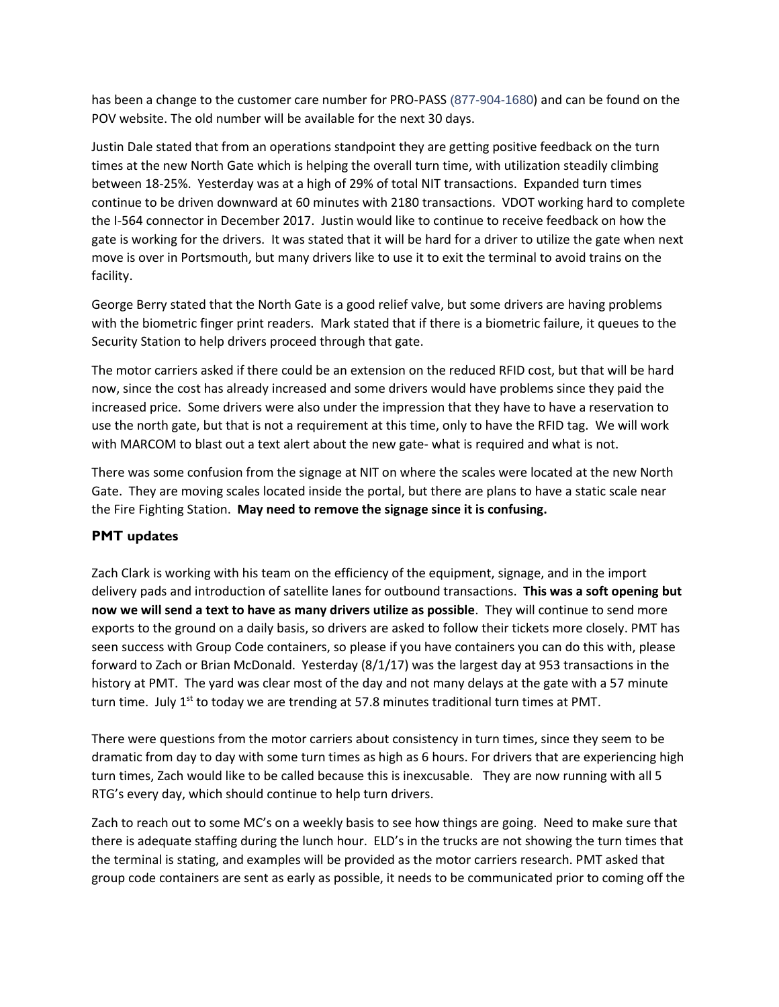has been a change to the customer care number for PRO-PASS (877-904-1680) and can be found on the POV website. The old number will be available for the next 30 days.

Justin Dale stated that from an operations standpoint they are getting positive feedback on the turn times at the new North Gate which is helping the overall turn time, with utilization steadily climbing between 18-25%. Yesterday was at a high of 29% of total NIT transactions. Expanded turn times continue to be driven downward at 60 minutes with 2180 transactions. VDOT working hard to complete the I-564 connector in December 2017. Justin would like to continue to receive feedback on how the gate is working for the drivers. It was stated that it will be hard for a driver to utilize the gate when next move is over in Portsmouth, but many drivers like to use it to exit the terminal to avoid trains on the facility.

George Berry stated that the North Gate is a good relief valve, but some drivers are having problems with the biometric finger print readers. Mark stated that if there is a biometric failure, it queues to the Security Station to help drivers proceed through that gate.

The motor carriers asked if there could be an extension on the reduced RFID cost, but that will be hard now, since the cost has already increased and some drivers would have problems since they paid the increased price. Some drivers were also under the impression that they have to have a reservation to use the north gate, but that is not a requirement at this time, only to have the RFID tag. We will work with MARCOM to blast out a text alert about the new gate- what is required and what is not.

There was some confusion from the signage at NIT on where the scales were located at the new North Gate. They are moving scales located inside the portal, but there are plans to have a static scale near the Fire Fighting Station. **May need to remove the signage since it is confusing.**

## **PMT updates**

Zach Clark is working with his team on the efficiency of the equipment, signage, and in the import delivery pads and introduction of satellite lanes for outbound transactions. **This was a soft opening but now we will send a text to have as many drivers utilize as possible**. They will continue to send more exports to the ground on a daily basis, so drivers are asked to follow their tickets more closely. PMT has seen success with Group Code containers, so please if you have containers you can do this with, please forward to Zach or Brian McDonald. Yesterday (8/1/17) was the largest day at 953 transactions in the history at PMT. The yard was clear most of the day and not many delays at the gate with a 57 minute turn time. July  $1^{st}$  to today we are trending at 57.8 minutes traditional turn times at PMT.

There were questions from the motor carriers about consistency in turn times, since they seem to be dramatic from day to day with some turn times as high as 6 hours. For drivers that are experiencing high turn times, Zach would like to be called because this is inexcusable. They are now running with all 5 RTG's every day, which should continue to help turn drivers.

Zach to reach out to some MC's on a weekly basis to see how things are going. Need to make sure that there is adequate staffing during the lunch hour. ELD's in the trucks are not showing the turn times that the terminal is stating, and examples will be provided as the motor carriers research. PMT asked that group code containers are sent as early as possible, it needs to be communicated prior to coming off the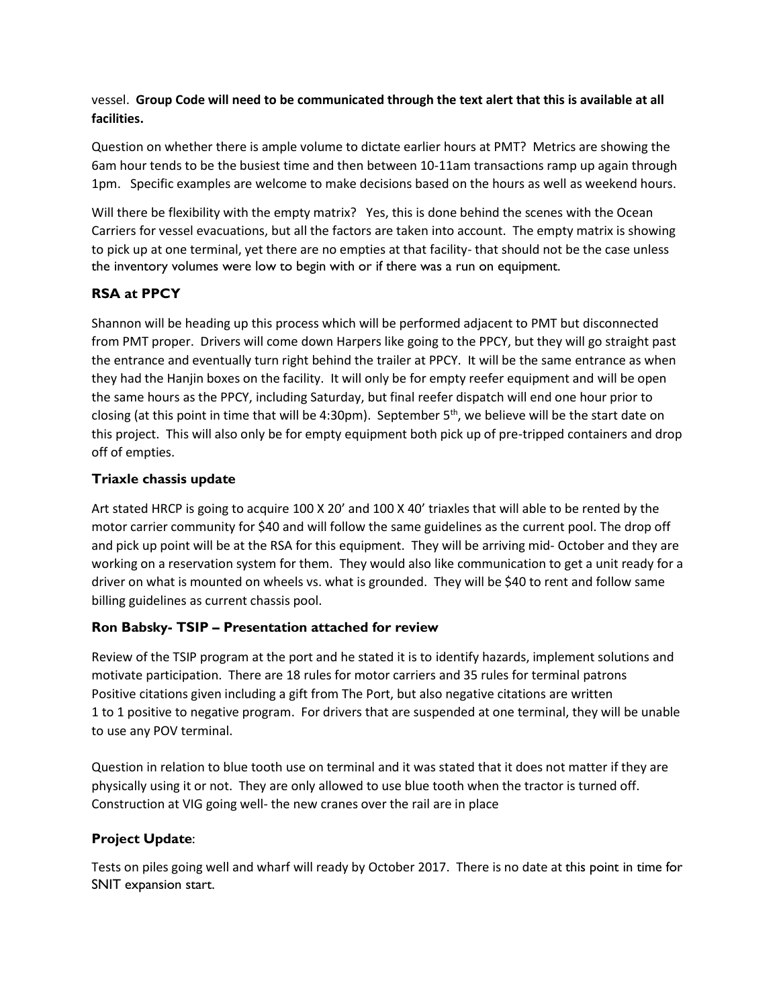## vessel. **Group Code will need to be communicated through the text alert that this is available at all facilities.**

Question on whether there is ample volume to dictate earlier hours at PMT? Metrics are showing the 6am hour tends to be the busiest time and then between 10-11am transactions ramp up again through 1pm. Specific examples are welcome to make decisions based on the hours as well as weekend hours.

Will there be flexibility with the empty matrix? Yes, this is done behind the scenes with the Ocean Carriers for vessel evacuations, but all the factors are taken into account. The empty matrix is showing to pick up at one terminal, yet there are no empties at that facility- that should not be the case unless the inventory volumes were low to begin with or if there was a run on equipment.

# **RSA at PPCY**

Shannon will be heading up this process which will be performed adjacent to PMT but disconnected from PMT proper. Drivers will come down Harpers like going to the PPCY, but they will go straight past the entrance and eventually turn right behind the trailer at PPCY. It will be the same entrance as when they had the Hanjin boxes on the facility. It will only be for empty reefer equipment and will be open the same hours as the PPCY, including Saturday, but final reefer dispatch will end one hour prior to closing (at this point in time that will be 4:30pm). September  $5<sup>th</sup>$ , we believe will be the start date on this project. This will also only be for empty equipment both pick up of pre-tripped containers and drop off of empties.

## **Triaxle chassis update**

Art stated HRCP is going to acquire 100 X 20' and 100 X 40' triaxles that will able to be rented by the motor carrier community for \$40 and will follow the same guidelines as the current pool. The drop off and pick up point will be at the RSA for this equipment. They will be arriving mid- October and they are working on a reservation system for them. They would also like communication to get a unit ready for a driver on what is mounted on wheels vs. what is grounded. They will be \$40 to rent and follow same billing guidelines as current chassis pool.

# **Ron Babsky- TSIP – Presentation attached for review**

Review of the TSIP program at the port and he stated it is to identify hazards, implement solutions and motivate participation. There are 18 rules for motor carriers and 35 rules for terminal patrons Positive citations given including a gift from The Port, but also negative citations are written 1 to 1 positive to negative program. For drivers that are suspended at one terminal, they will be unable to use any POV terminal.

Question in relation to blue tooth use on terminal and it was stated that it does not matter if they are physically using it or not. They are only allowed to use blue tooth when the tractor is turned off. Construction at VIG going well- the new cranes over the rail are in place

# **Project Update**:

Tests on piles going well and wharf will ready by October 2017. There is no date at this point in time for SNIT expansion start.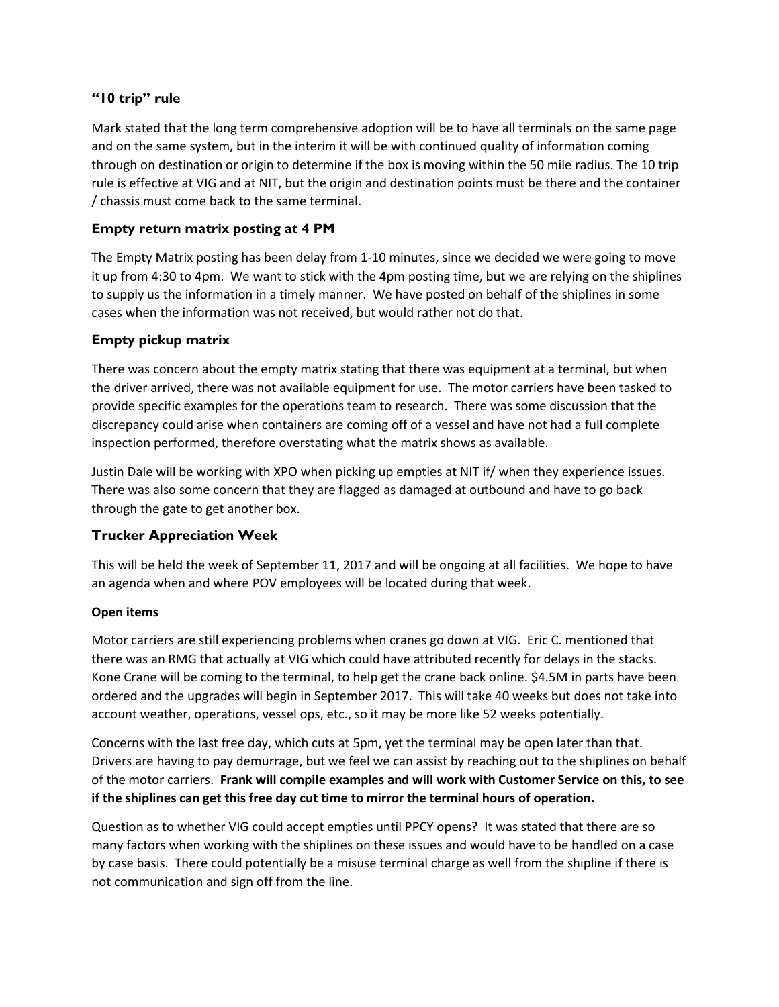## **"10 trip" rule**

Mark stated that the long term comprehensive adoption will be to have all terminals on the same page and on the same system, but in the interim it will be with continued quality of information coming through on destination or origin to determine if the box is moving within the 50 mile radius. The 10 trip rule is effective at VIG and at NIT, but the origin and destination points must be there and the container / chassis must come back to the same terminal.

## **Empty return matrix posting at 4 PM**

The Empty Matrix posting has been delay from 1-10 minutes, since we decided we were going to move it up from 4:30 to 4pm. We want to stick with the 4pm posting time, but we are relying on the shiplines to supply us the information in a timely manner. We have posted on behalf of the shiplines in some cases when the information was not received, but would rather not do that.

### **Empty pickup matrix**

There was concern about the empty matrix stating that there was equipment at a terminal, but when the driver arrived, there was not available equipment for use. The motor carriers have been tasked to provide specific examples for the operations team to research. There was some discussion that the discrepancy could arise when containers are coming off of a vessel and have not had a full complete inspection performed, therefore overstating what the matrix shows as available.

Justin Dale will be working with XPO when picking up empties at NIT if/ when they experience issues. There was also some concern that they are flagged as damaged at outbound and have to go back through the gate to get another box.

## **Trucker Appreciation Week**

This will be held the week of September 11, 2017 and will be ongoing at all facilities. We hope to have an agenda when and where POV employees will be located during that week.

### **Open items**

Motor carriers are still experiencing problems when cranes go down at VIG. Eric C. mentioned that there was an RMG that actually at VIG which could have attributed recently for delays in the stacks. Kone Crane will be coming to the terminal, to help get the crane back online. \$4.5M in parts have been ordered and the upgrades will begin in September 2017. This will take 40 weeks but does not take into account weather, operations, vessel ops, etc., so it may be more like 52 weeks potentially.

Concerns with the last free day, which cuts at 5pm, yet the terminal may be open later than that. Drivers are having to pay demurrage, but we feel we can assist by reaching out to the shiplines on behalf of the motor carriers. **Frank will compile examples and will work with Customer Service on this, to see if the shiplines can get this free day cut time to mirror the terminal hours of operation.** 

Question as to whether VIG could accept empties until PPCY opens? It was stated that there are so many factors when working with the shiplines on these issues and would have to be handled on a case by case basis. There could potentially be a misuse terminal charge as well from the shipline if there is not communication and sign off from the line.